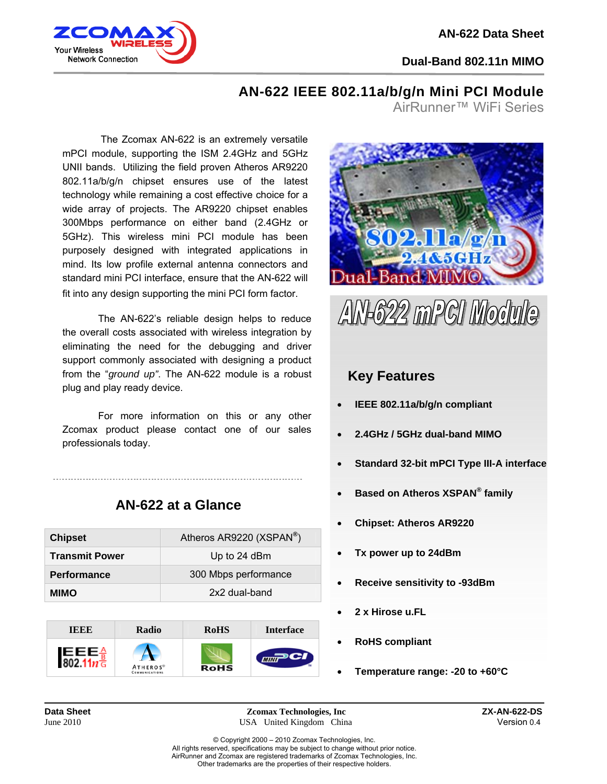

j

**Dual-Band 802.11n MIMO**

## **AN-622 IEEE 802.11a/b/g/n Mini PCI Module**

AirRunner™ WiFi Series

 The Zcomax AN-622 is an extremely versatile mPCI module, supporting the ISM 2.4GHz and 5GHz UNII bands. Utilizing the field proven Atheros AR9220 802.11a/b/g/n chipset ensures use of the latest technology while remaining a cost effective choice for a wide array of projects. The AR9220 chipset enables 300Mbps performance on either band (2.4GHz or 5GHz). This wireless mini PCI module has been purposely designed with integrated applications in mind. Its low profile external antenna connectors and standard mini PCI interface, ensure that the AN-622 will fit into any design supporting the mini PCI form factor.

The AN-622's reliable design helps to reduce the overall costs associated with wireless integration by eliminating the need for the debugging and driver support commonly associated with designing a product from the "*ground up"*. The AN-622 module is a robust plug and play ready device.

For more information on this or any other Zcomax product please contact one of our sales professionals today.

| <b>Chipset</b>        | Atheros AR9220 (XSPAN®) |
|-----------------------|-------------------------|
| <b>Transmit Power</b> | Up to 24 dBm            |
| <b>Performance</b>    | 300 Mbps performance    |
| MIMO                  | 2x2 dual-band           |
|                       |                         |

**AN-622 at a Glance** 







## **Key Features**

- **IEEE 802.11a/b/g/n compliant**
- **2.4GHz / 5GHz dual-band MIMO**
- **Standard 32-bit mPCI Type III-A interface**
- **Based on Atheros XSPAN® family**
- **Chipset: Atheros AR9220**
- **Tx power up to 24dBm**
- **Receive sensitivity to -93dBm**
- **2 x Hirose u.FL**
- **RoHS compliant**
- **Temperature range: -20 to +60°C**

**Data Sheet 2001 Zomax Technologies, Inc 2010 ZX-AN-622-DS**<br>**Lune 2010 ZX-AN-622-DS** *LUSA United Kingdom China* **Pression 0.4** USA United Kingdom China Version 0.4

© Copyright 2000 – 2010 Zcomax Technologies, Inc. All rights reserved, specifications may be subject to change without prior notice. AirRunner and Zcomax are registered trademarks of Zcomax Technologies, Inc. Other trademarks are the properties of their respective holders.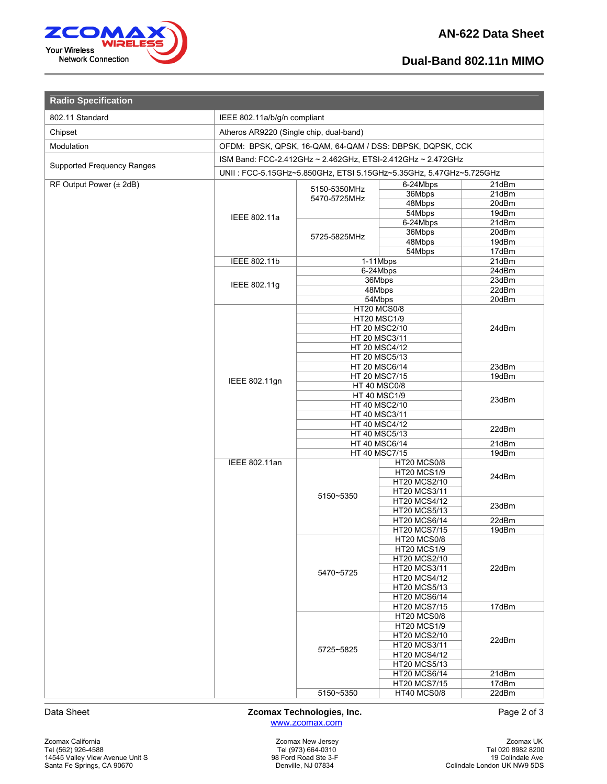

l

## **Dual-Band 802.11n MIMO**

| <b>Radio Specification</b>        |                                                                    |                                            |                                            |                |  |
|-----------------------------------|--------------------------------------------------------------------|--------------------------------------------|--------------------------------------------|----------------|--|
| 802.11 Standard                   | IEEE 802.11a/b/g/n compliant                                       |                                            |                                            |                |  |
| Chipset                           | Atheros AR9220 (Single chip, dual-band)                            |                                            |                                            |                |  |
| Modulation                        | OFDM: BPSK, QPSK, 16-QAM, 64-QAM / DSS: DBPSK, DQPSK, CCK          |                                            |                                            |                |  |
|                                   | ISM Band: FCC-2.412GHz ~ 2.462GHz, ETSI-2.412GHz ~ 2.472GHz        |                                            |                                            |                |  |
| <b>Supported Frequency Ranges</b> | UNII: FCC-5.15GHz~5.850GHz, ETSI 5.15GHz~5.35GHz, 5.47GHz~5.725GHz |                                            |                                            |                |  |
| RF Output Power (± 2dB)           | 6-24Mbps                                                           |                                            |                                            | 21dBm          |  |
|                                   |                                                                    | 5150-5350MHz<br>5470-5725MHz               | 36Mbps                                     | 21dBm          |  |
|                                   |                                                                    |                                            | 48Mbps                                     | 20dBm          |  |
|                                   | IEEE 802.11a                                                       |                                            | 54Mbps                                     | 19dBm          |  |
|                                   |                                                                    |                                            | 6-24Mbps<br>36Mbps                         | 21dBm<br>20dBm |  |
|                                   |                                                                    | 5725-5825MHz                               | 48Mbps                                     | 19dBm          |  |
|                                   |                                                                    |                                            | 54Mbps                                     | 17dBm          |  |
|                                   | <b>IEEE 802.11b</b>                                                | 1-11Mbps                                   |                                            | 21dBm          |  |
|                                   |                                                                    | 6-24Mbps<br>36Mbps                         |                                            | 24dBm          |  |
|                                   | IEEE 802.11g                                                       |                                            | 48Mbps                                     | 23dBm<br>22dBm |  |
|                                   |                                                                    | 54Mbps                                     |                                            | 20dBm          |  |
|                                   |                                                                    | <b>HT20 MCS0/8</b>                         |                                            |                |  |
|                                   |                                                                    |                                            | <b>HT20 MSC1/9</b>                         |                |  |
|                                   |                                                                    | HT 20 MSC3/11                              | HT 20 MSC2/10                              | 24dBm          |  |
|                                   |                                                                    |                                            | HT 20 MSC4/12                              |                |  |
|                                   |                                                                    | HT 20 MSC5/13                              |                                            |                |  |
|                                   |                                                                    |                                            | HT 20 MSC6/14                              | 23dBm          |  |
|                                   | IEEE 802.11gn                                                      | HT 20 MSC7/15                              |                                            | 19dBm          |  |
|                                   |                                                                    | <b>HT 40 MSC0/8</b><br><b>HT 40 MSC1/9</b> |                                            | 23dBm<br>22dBm |  |
|                                   |                                                                    | HT 40 MSC2/10                              |                                            |                |  |
|                                   |                                                                    | HT 40 MSC3/11                              |                                            |                |  |
|                                   |                                                                    | HT 40 MSC4/12                              |                                            |                |  |
|                                   |                                                                    | HT 40 MSC5/13<br>HT 40 MSC6/14             |                                            |                |  |
|                                   |                                                                    | HT 40 MSC7/15                              | 21dBm<br>19dBm                             |                |  |
|                                   | <b>IEEE 802.11an</b>                                               |                                            | <b>HT20 MCS0/8</b>                         | 24dBm          |  |
|                                   |                                                                    |                                            | <b>HT20 MCS1/9</b>                         |                |  |
|                                   |                                                                    |                                            | HT20 MCS2/10                               |                |  |
|                                   |                                                                    | 5150~5350                                  | HT20 MCS3/11<br>HT20 MCS4/12               |                |  |
|                                   |                                                                    |                                            | <b>HT20 MCS5/13</b>                        | 23dBm          |  |
|                                   |                                                                    |                                            | HT20 MCS6/14                               | 22dBm          |  |
|                                   |                                                                    |                                            | <b>HT20 MCS7/15</b>                        | 19dBm          |  |
|                                   |                                                                    |                                            | <b>HT20 MCS0/8</b><br><b>HT20 MCS1/9</b>   | 22dBm<br>17dBm |  |
|                                   |                                                                    | 5470~5725                                  | <b>HT20 MCS2/10</b>                        |                |  |
|                                   |                                                                    |                                            | <b>HT20 MCS3/11</b>                        |                |  |
|                                   |                                                                    |                                            | HT20 MCS4/12                               |                |  |
|                                   |                                                                    |                                            | <b>HT20 MCS5/13</b>                        |                |  |
|                                   |                                                                    |                                            | <b>HT20 MCS6/14</b><br><b>HT20 MCS7/15</b> |                |  |
|                                   |                                                                    |                                            | HT20 MCS0/8                                | 22dBm          |  |
|                                   |                                                                    |                                            | <b>HT20 MCS1/9</b>                         |                |  |
|                                   |                                                                    |                                            | <b>HT20 MCS2/10</b>                        |                |  |
|                                   |                                                                    | 5725~5825                                  | <b>HT20 MCS3/11</b>                        |                |  |
|                                   |                                                                    |                                            | <b>HT20 MCS4/12</b><br><b>HT20 MCS5/13</b> |                |  |
|                                   |                                                                    |                                            | <b>HT20 MCS6/14</b>                        | 21dBm          |  |
|                                   |                                                                    |                                            | <b>HT20 MCS7/15</b>                        | 17dBm          |  |
|                                   |                                                                    | 5150~5350                                  | <b>HT40 MCS0/8</b>                         | 22dBm          |  |

Data Sheet **Zcomax Technologies, Inc.** Page 2 of 3 www.zcomax.com